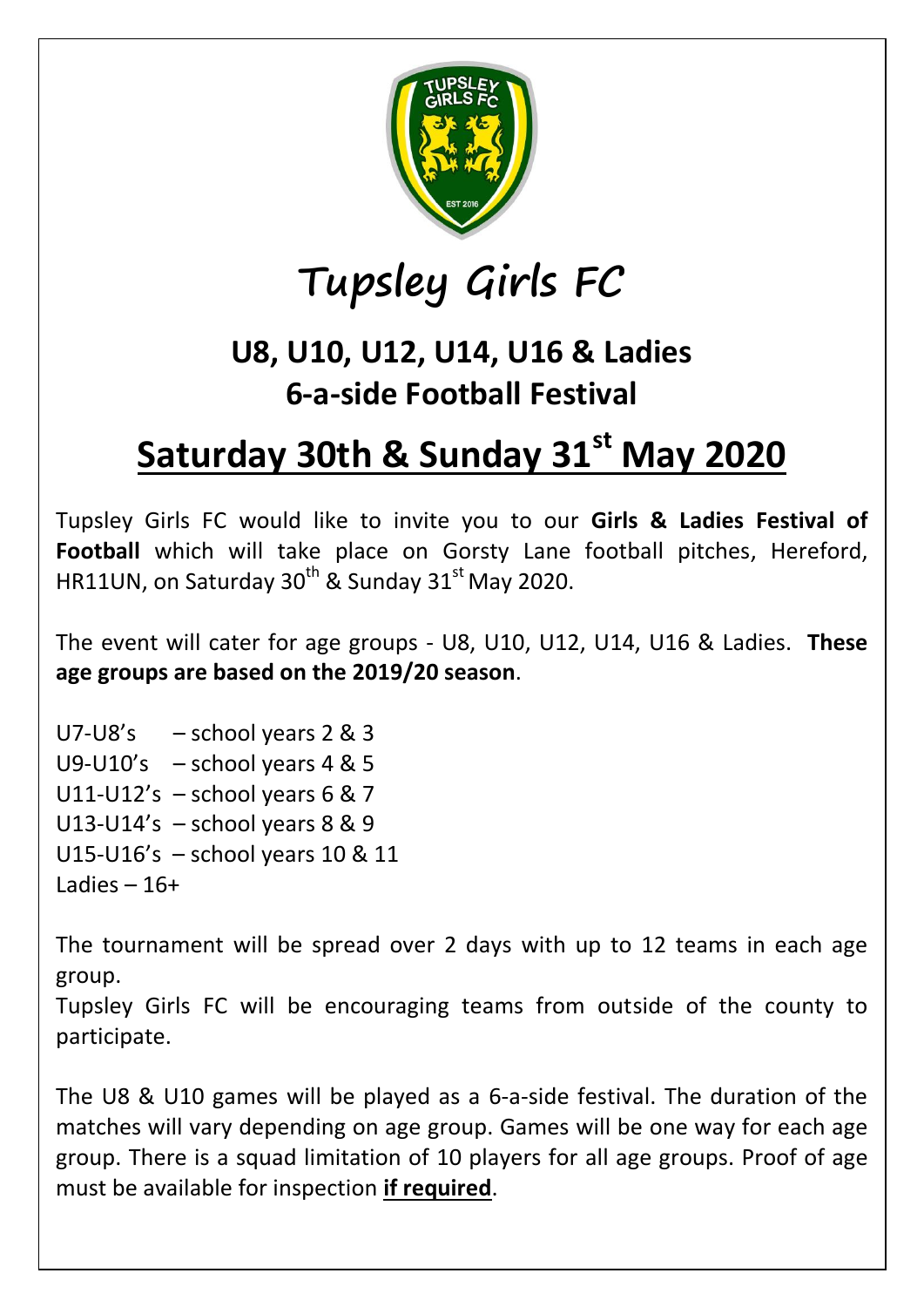

## **Tupsley Girls FC**

## **U8, U10, U12, U14, U16 & Ladies 6-a-side Football Festival**

## **Saturday 30th & Sunday 31st May 2020**

Tupsley Girls FC would like to invite you to our **Girls & Ladies Festival of Football** which will take place on Gorsty Lane football pitches, Hereford, HR11UN, on Saturday  $30^{th}$  & Sunday  $31^{st}$  May 2020.

The event will cater for age groups - U8, U10, U12, U14, U16 & Ladies. **These age groups are based on the 2019/20 season**.

U7-U8's  $-$  school years 2 & 3 U9-U10's – school years 4 & 5 U11-U12's  $-$  school years 6 & 7 U13-U14's – school years 8 & 9 U15-U16's – school years 10 & 11 Ladies – 16+

The tournament will be spread over 2 days with up to 12 teams in each age group.

Tupsley Girls FC will be encouraging teams from outside of the county to participate.

The U8 & U10 games will be played as a 6-a-side festival. The duration of the matches will vary depending on age group. Games will be one way for each age group. There is a squad limitation of 10 players for all age groups. Proof of age must be available for inspection **if required**.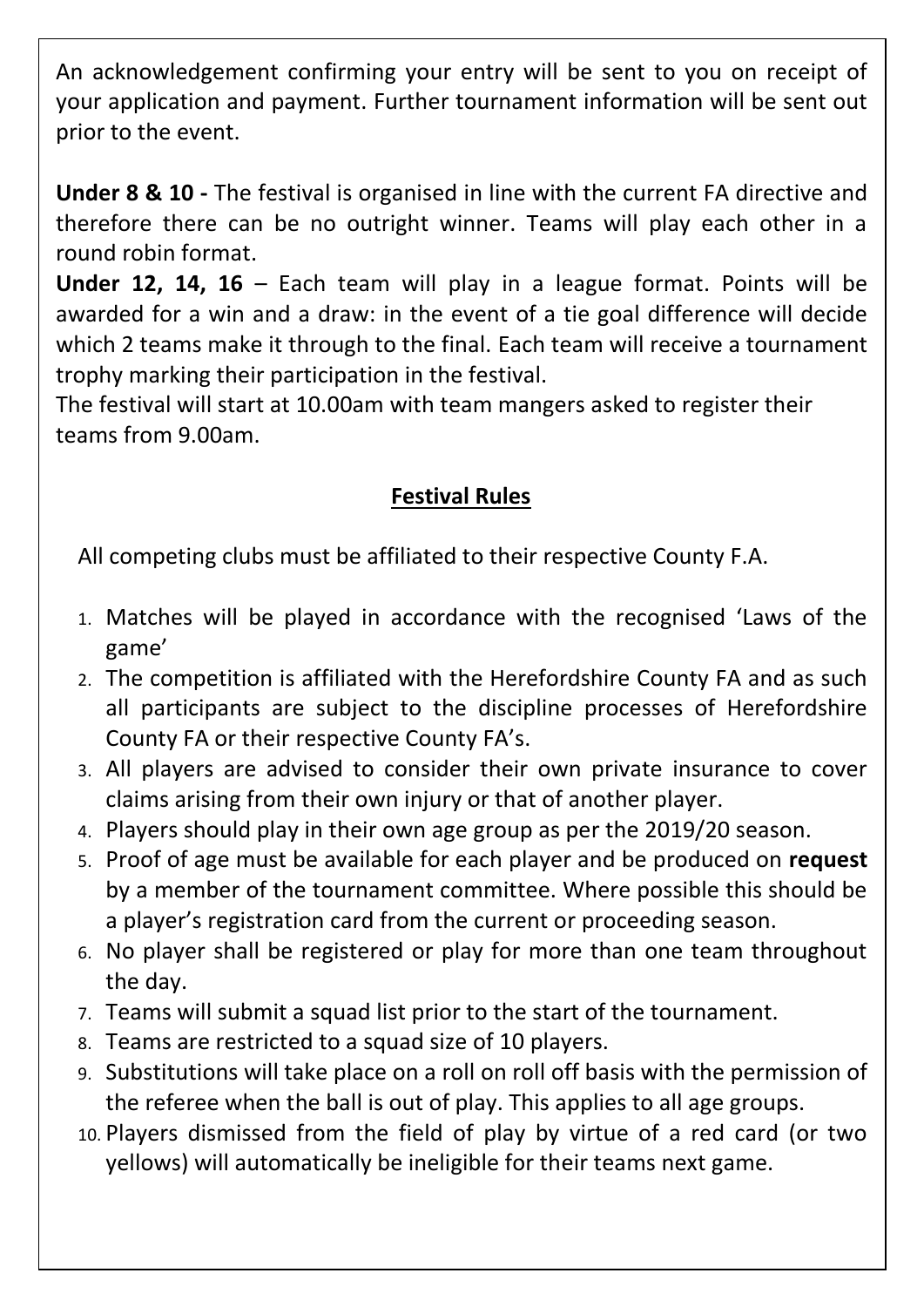An acknowledgement confirming your entry will be sent to you on receipt of your application and payment. Further tournament information will be sent out prior to the event.

**Under 8 & 10 -** The festival is organised in line with the current FA directive and therefore there can be no outright winner. Teams will play each other in a round robin format.

**Under 12, 14, 16** – Each team will play in a league format. Points will be awarded for a win and a draw: in the event of a tie goal difference will decide which 2 teams make it through to the final. Each team will receive a tournament trophy marking their participation in the festival.

The festival will start at 10.00am with team mangers asked to register their teams from 9.00am.

## **Festival Rules**

All competing clubs must be affiliated to their respective County F.A.

- 1. Matches will be played in accordance with the recognised 'Laws of the game'
- 2. The competition is affiliated with the Herefordshire County FA and as such all participants are subject to the discipline processes of Herefordshire County FA or their respective County FA's.
- 3. All players are advised to consider their own private insurance to cover claims arising from their own injury or that of another player.
- 4. Players should play in their own age group as per the 2019/20 season.
- 5. Proof of age must be available for each player and be produced on **request** by a member of the tournament committee. Where possible this should be a player's registration card from the current or proceeding season.
- 6. No player shall be registered or play for more than one team throughout the day.
- 7. Teams will submit a squad list prior to the start of the tournament.
- 8. Teams are restricted to a squad size of 10 players.
- 9. Substitutions will take place on a roll on roll off basis with the permission of the referee when the ball is out of play. This applies to all age groups.
- 10. Players dismissed from the field of play by virtue of a red card (or two yellows) will automatically be ineligible for their teams next game.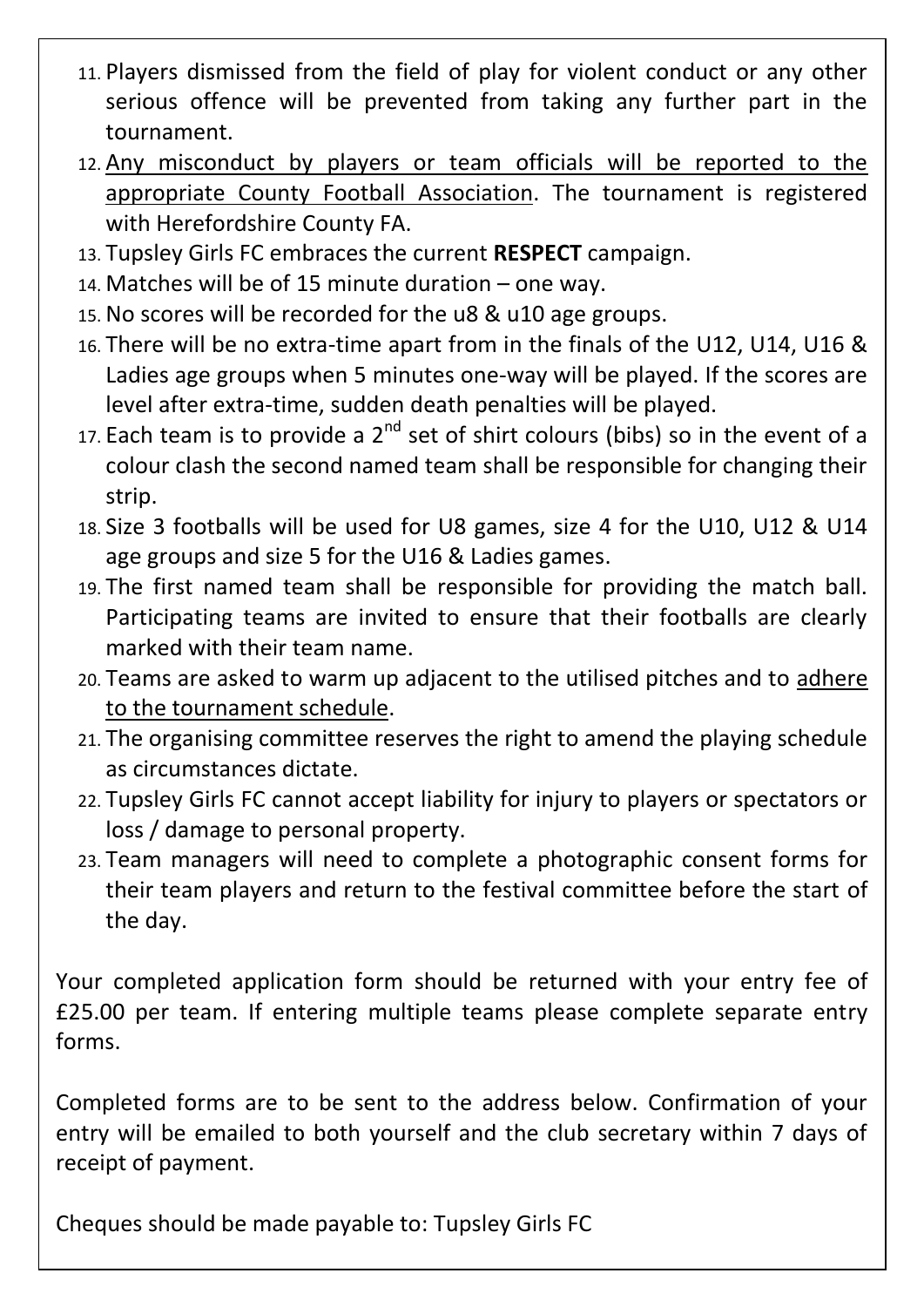- 11. Players dismissed from the field of play for violent conduct or any other serious offence will be prevented from taking any further part in the tournament.
- 12. Any misconduct by players or team officials will be reported to the appropriate County Football Association. The tournament is registered with Herefordshire County FA.
- 13. Tupsley Girls FC embraces the current **RESPECT** campaign.
- 14. Matches will be of 15 minute duration one way.
- 15. No scores will be recorded for the u8 & u10 age groups.
- 16. There will be no extra-time apart from in the finals of the U12, U14, U16 & Ladies age groups when 5 minutes one-way will be played. If the scores are level after extra-time, sudden death penalties will be played.
- 17. Each team is to provide a  $2^{nd}$  set of shirt colours (bibs) so in the event of a colour clash the second named team shall be responsible for changing their strip.
- 18. Size 3 footballs will be used for U8 games, size 4 for the U10, U12 & U14 age groups and size 5 for the U16 & Ladies games.
- 19. The first named team shall be responsible for providing the match ball. Participating teams are invited to ensure that their footballs are clearly marked with their team name.
- 20. Teams are asked to warm up adjacent to the utilised pitches and to adhere to the tournament schedule.
- 21. The organising committee reserves the right to amend the playing schedule as circumstances dictate.
- 22. Tupsley Girls FC cannot accept liability for injury to players or spectators or loss / damage to personal property.
- 23. Team managers will need to complete a photographic consent forms for their team players and return to the festival committee before the start of the day.

Your completed application form should be returned with your entry fee of £25.00 per team. If entering multiple teams please complete separate entry forms.

Completed forms are to be sent to the address below. Confirmation of your entry will be emailed to both yourself and the club secretary within 7 days of receipt of payment.

Cheques should be made payable to: Tupsley Girls FC